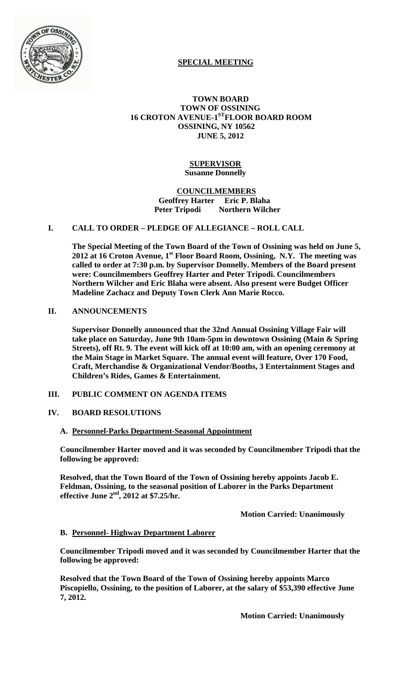

# **SPECIAL MEETING**

#### **TOWN BOARD TOWN OF OSSINING 16 CROTON AVENUE-1STFLOOR BOARD ROOM OSSINING, NY 10562 JUNE 5, 2012**

## **SUPERVISOR Susanne Donnelly**

#### **COUNCILMEMBERS Geoffrey Harter Eric P. Blaha Peter Tripodi Northern Wilcher**

# **I. CALL TO ORDER – PLEDGE OF ALLEGIANCE – ROLL CALL**

**The Special Meeting of the Town Board of the Town of Ossining was held on June 5,**  2012 at 16 Croton Avenue, 1<sup>st</sup> Floor Board Room, Ossining, N.Y. The meeting was **called to order at 7:30 p.m. by Supervisor Donnelly. Members of the Board present were: Councilmembers Geoffrey Harter and Peter Tripodi. Councilmembers Northern Wilcher and Eric Blaha were absent. Also present were Budget Officer Madeline Zachacz and Deputy Town Clerk Ann Marie Rocco.**

## **II. ANNOUNCEMENTS**

**Supervisor Donnelly announced that the 32nd Annual Ossining Village Fair will take place on Saturday, June 9th 10am-5pm in downtown Ossining (Main & Spring Streets), off Rt. 9. The event will kick off at 10:00 am, with an opening ceremony at the Main Stage in Market Square. The annual event will feature, Over 170 Food, Craft, Merchandise & Organizational Vendor/Booths, 3 Entertainment Stages and Children's Rides, Games & Entertainment.**

## **III. PUBLIC COMMENT ON AGENDA ITEMS**

# **IV. BOARD RESOLUTIONS**

#### **A. Personnel-Parks Department-Seasonal Appointment**

**Councilmember Harter moved and it was seconded by Councilmember Tripodi that the following be approved:**

**Resolved, that the Town Board of the Town of Ossining hereby appoints Jacob E. Feldman, Ossining, to the seasonal position of Laborer in the Parks Department effective June 2nd, 2012 at \$7.25/hr.**

**Motion Carried: Unanimously**

# **B. Personnel- Highway Department Laborer**

**Councilmember Tripodi moved and it was seconded by Councilmember Harter that the following be approved:**

**Resolved that the Town Board of the Town of Ossining hereby appoints Marco Piscopiello, Ossining, to the position of Laborer, at the salary of \$53,390 effective June 7, 2012.**

**Motion Carried: Unanimously**